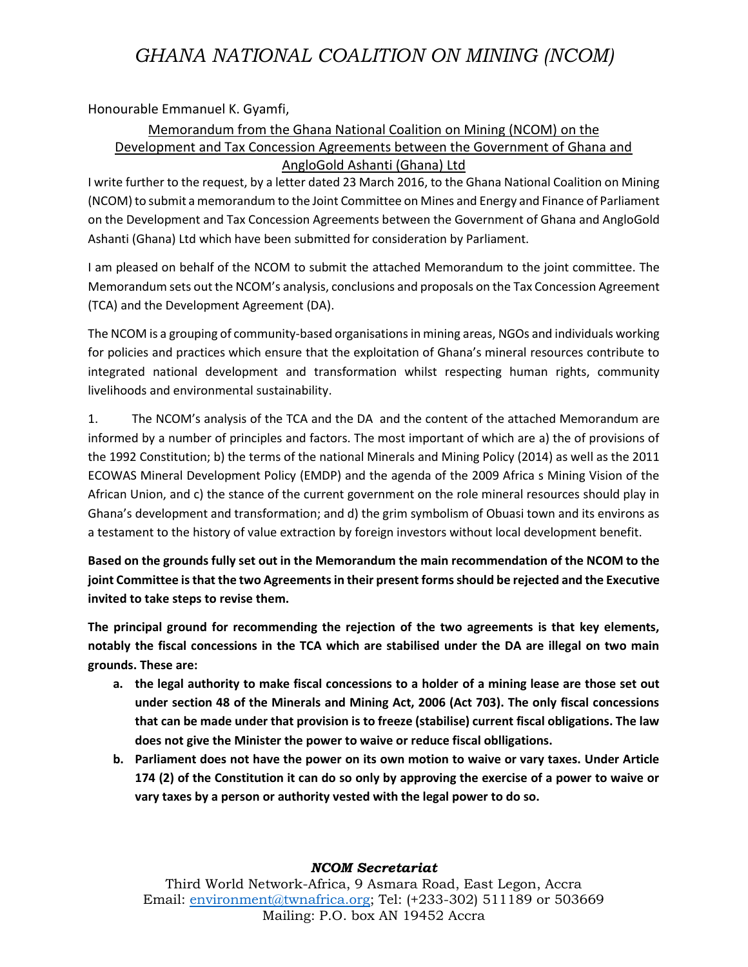## *GHANA NATIONAL COALITION ON MINING (NCOM)*

Honourable Emmanuel K. Gyamfi,

## Memorandum from the Ghana National Coalition on Mining (NCOM) on the Development and Tax Concession Agreements between the Government of Ghana and AngloGold Ashanti (Ghana) Ltd

I write further to the request, by a letter dated 23 March 2016, to the Ghana National Coalition on Mining (NCOM) to submit a memorandum to the Joint Committee on Mines and Energy and Finance of Parliament on the Development and Tax Concession Agreements between the Government of Ghana and AngloGold Ashanti (Ghana) Ltd which have been submitted for consideration by Parliament.

I am pleased on behalf of the NCOM to submit the attached Memorandum to the joint committee. The Memorandum sets out the NCOM's analysis, conclusions and proposals on the Tax Concession Agreement (TCA) and the Development Agreement (DA).

The NCOM is a grouping of community-based organisations in mining areas, NGOs and individuals working for policies and practices which ensure that the exploitation of Ghana's mineral resources contribute to integrated national development and transformation whilst respecting human rights, community livelihoods and environmental sustainability.

1. The NCOM's analysis of the TCA and the DA and the content of the attached Memorandum are informed by a number of principles and factors. The most important of which are a) the of provisions of the 1992 Constitution; b) the terms of the national Minerals and Mining Policy (2014) as well as the 2011 ECOWAS Mineral Development Policy (EMDP) and the agenda of the 2009 Africa s Mining Vision of the African Union, and c) the stance of the current government on the role mineral resources should play in Ghana's development and transformation; and d) the grim symbolism of Obuasi town and its environs as a testament to the history of value extraction by foreign investors without local development benefit.

**Based on the grounds fully set out in the Memorandum the main recommendation of the NCOM to the joint Committee is that the two Agreements in their present forms should be rejected and the Executive invited to take steps to revise them.**

**The principal ground for recommending the rejection of the two agreements is that key elements, notably the fiscal concessions in the TCA which are stabilised under the DA are illegal on two main grounds. These are:**

- **a. the legal authority to make fiscal concessions to a holder of a mining lease are those set out under section 48 of the Minerals and Mining Act, 2006 (Act 703). The only fiscal concessions that can be made under that provision is to freeze (stabilise) current fiscal obligations. The law does not give the Minister the power to waive or reduce fiscal oblligations.**
- **b. Parliament does not have the power on its own motion to waive or vary taxes. Under Article 174 (2) of the Constitution it can do so only by approving the exercise of a power to waive or vary taxes by a person or authority vested with the legal power to do so.**

## *NCOM Secretariat*

Third World Network-Africa, 9 Asmara Road, East Legon, Accra Email: [environment@twnafrica.org;](mailto:environment@twnafrica.org) Tel: (+233-302) 511189 or 503669 Mailing: P.O. box AN 19452 Accra